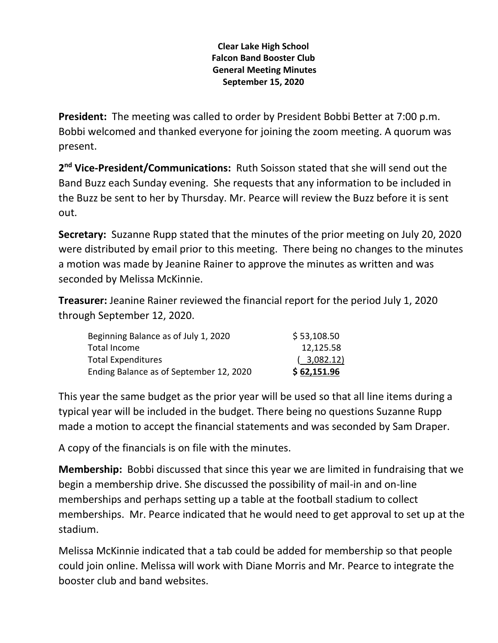### **Clear Lake High School Falcon Band Booster Club General Meeting Minutes September 15, 2020**

**President:** The meeting was called to order by President Bobbi Better at 7:00 p.m. Bobbi welcomed and thanked everyone for joining the zoom meeting. A quorum was present.

**2 nd Vice-President/Communications:** Ruth Soisson stated that she will send out the Band Buzz each Sunday evening. She requests that any information to be included in the Buzz be sent to her by Thursday. Mr. Pearce will review the Buzz before it is sent out.

**Secretary:** Suzanne Rupp stated that the minutes of the prior meeting on July 20, 2020 were distributed by email prior to this meeting. There being no changes to the minutes a motion was made by Jeanine Rainer to approve the minutes as written and was seconded by Melissa McKinnie.

**Treasurer:** Jeanine Rainer reviewed the financial report for the period July 1, 2020 through September 12, 2020.

| Beginning Balance as of July 1, 2020    | \$53,108.50 |
|-----------------------------------------|-------------|
| Total Income                            | 12,125.58   |
| <b>Total Expenditures</b>               | (3,082.12)  |
| Ending Balance as of September 12, 2020 | \$62,151.96 |

This year the same budget as the prior year will be used so that all line items during a typical year will be included in the budget. There being no questions Suzanne Rupp made a motion to accept the financial statements and was seconded by Sam Draper.

A copy of the financials is on file with the minutes.

**Membership:** Bobbi discussed that since this year we are limited in fundraising that we begin a membership drive. She discussed the possibility of mail-in and on-line memberships and perhaps setting up a table at the football stadium to collect memberships. Mr. Pearce indicated that he would need to get approval to set up at the stadium.

Melissa McKinnie indicated that a tab could be added for membership so that people could join online. Melissa will work with Diane Morris and Mr. Pearce to integrate the booster club and band websites.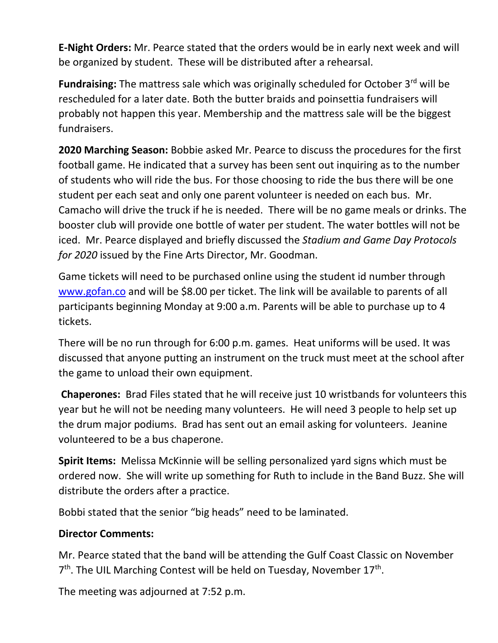**E-Night Orders:** Mr. Pearce stated that the orders would be in early next week and will be organized by student. These will be distributed after a rehearsal.

Fundraising: The mattress sale which was originally scheduled for October 3<sup>rd</sup> will be rescheduled for a later date. Both the butter braids and poinsettia fundraisers will probably not happen this year. Membership and the mattress sale will be the biggest fundraisers.

**2020 Marching Season:** Bobbie asked Mr. Pearce to discuss the procedures for the first football game. He indicated that a survey has been sent out inquiring as to the number of students who will ride the bus. For those choosing to ride the bus there will be one student per each seat and only one parent volunteer is needed on each bus. Mr. Camacho will drive the truck if he is needed. There will be no game meals or drinks. The booster club will provide one bottle of water per student. The water bottles will not be iced. Mr. Pearce displayed and briefly discussed the *Stadium and Game Day Protocols for 2020* issued by the Fine Arts Director, Mr. Goodman.

Game tickets will need to be purchased online using the student id number through [www.gofan.co](http://www.gofan.co/) and will be \$8.00 per ticket. The link will be available to parents of all participants beginning Monday at 9:00 a.m. Parents will be able to purchase up to 4 tickets.

There will be no run through for 6:00 p.m. games. Heat uniforms will be used. It was discussed that anyone putting an instrument on the truck must meet at the school after the game to unload their own equipment.

**Chaperones:** Brad Files stated that he will receive just 10 wristbands for volunteers this year but he will not be needing many volunteers. He will need 3 people to help set up the drum major podiums. Brad has sent out an email asking for volunteers. Jeanine volunteered to be a bus chaperone.

**Spirit Items:** Melissa McKinnie will be selling personalized yard signs which must be ordered now. She will write up something for Ruth to include in the Band Buzz. She will distribute the orders after a practice.

Bobbi stated that the senior "big heads" need to be laminated.

# **Director Comments:**

Mr. Pearce stated that the band will be attending the Gulf Coast Classic on November 7<sup>th</sup>. The UIL Marching Contest will be held on Tuesday, November 17<sup>th</sup>.

The meeting was adjourned at 7:52 p.m.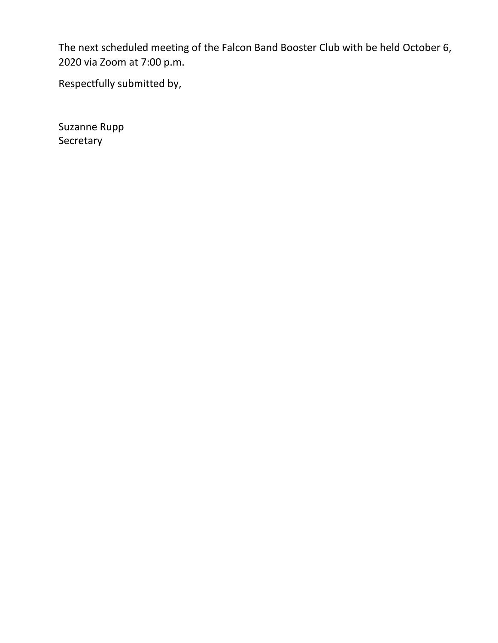The next scheduled meeting of the Falcon Band Booster Club with be held October 6, 2020 via Zoom at 7:00 p.m.

Respectfully submitted by,

Suzanne Rupp Secretary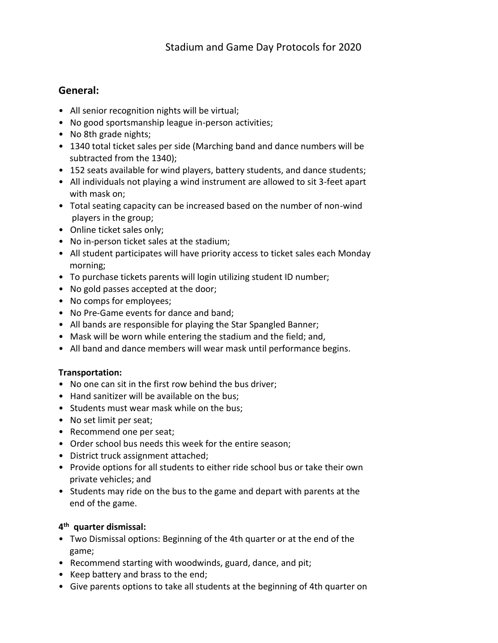## **General:**

- All senior recognition nights will be virtual;
- No good sportsmanship league in-person activities;
- No 8th grade nights;
- 1340 total ticket sales per side (Marching band and dance numbers will be subtracted from the 1340);
- 152 seats available for wind players, battery students, and dance students;
- All individuals not playing a wind instrument are allowed to sit 3-feet apart with mask on;
- Total seating capacity can be increased based on the number of non-wind players in the group;
- Online ticket sales only;
- No in-person ticket sales at the stadium;
- All student participates will have priority access to ticket sales each Monday morning;
- To purchase tickets parents will login utilizing student ID number;
- No gold passes accepted at the door;
- No comps for employees;
- No Pre-Game events for dance and band;
- All bands are responsible for playing the Star Spangled Banner;
- Mask will be worn while entering the stadium and the field; and,
- All band and dance members will wear mask until performance begins.

#### **Transportation:**

- No one can sit in the first row behind the bus driver;
- Hand sanitizer will be available on the bus;
- Students must wear mask while on the bus;
- No set limit per seat;
- Recommend one per seat;
- Order school bus needs this week for the entire season;
- District truck assignment attached;
- Provide options for all students to either ride school bus or take their own private vehicles; and
- Students may ride on the bus to the game and depart with parents at the end of the game.

## **4 th quarter dismissal:**

- Two Dismissal options: Beginning of the 4th quarter or at the end of the game;
- Recommend starting with woodwinds, guard, dance, and pit;
- Keep battery and brass to the end;
- Give parents options to take all students at the beginning of 4th quarter on